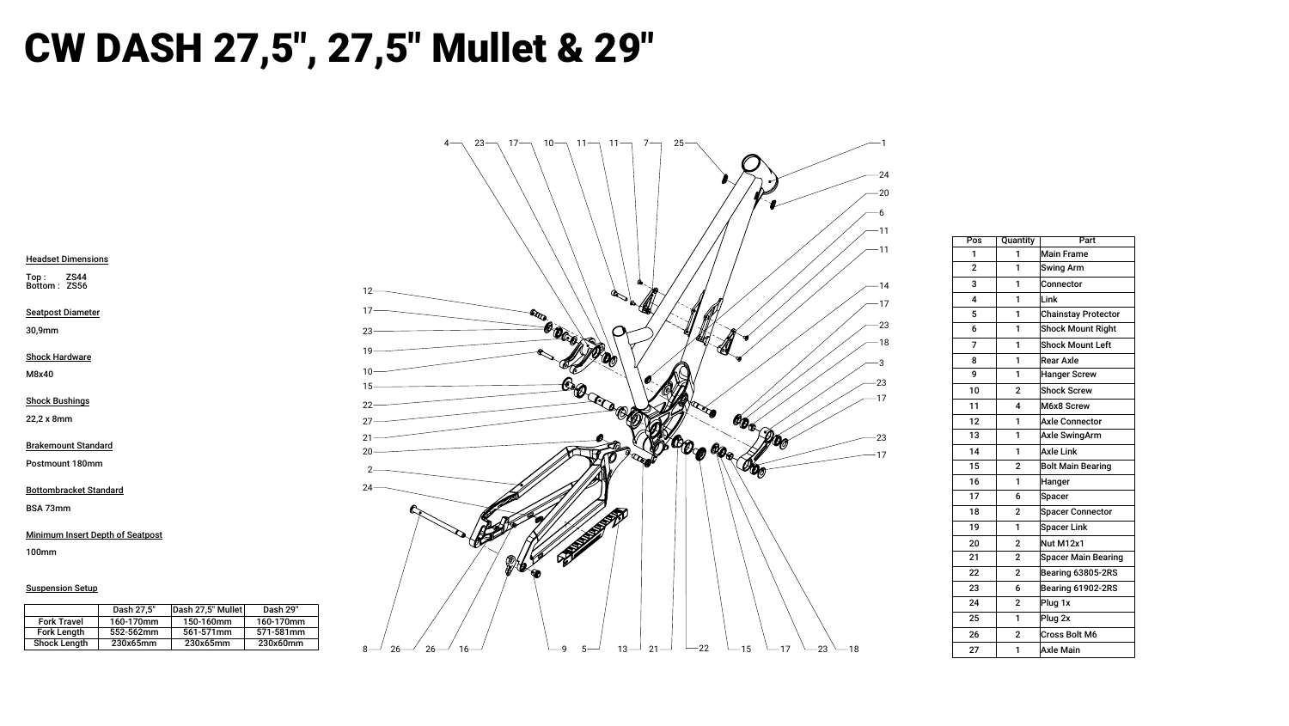

## CW DASH 27,5", 27,5" Mullet & 29"

Headset Dimensions

Top : ZS44 Bottom : ZS56

Seatpost Diameter

30,9mm

Shock Hardware

M8x40

Shock Bushings

22,2 x 8mm

Brakemount Standard

Postmount 180mm

Bottombracket Standard

BSA 73mm

Minimum Insert Depth of Seatpost

100mm

**Suspension Setup** 

| Pos            | <b>Quantity</b> | Part                       |  |
|----------------|-----------------|----------------------------|--|
| 1              | 1               | <b>Main Frame</b>          |  |
| $\overline{2}$ | 1               | <b>Swing Arm</b>           |  |
| 3              | 1               | Connector                  |  |
| 4              | 1               | Link                       |  |
| 5              | 1               | <b>Chainstay Protector</b> |  |
| 6              | 1               | <b>Shock Mount Right</b>   |  |
| 7              | 1               | <b>Shock Mount Left</b>    |  |
| 8              | 1               | <b>Rear Axle</b>           |  |
| 9              | 1               | <b>Hanger Screw</b>        |  |
| 10             | $\overline{2}$  | <b>Shock Screw</b>         |  |
| 11             | 4               | M6x8 Screw                 |  |
| 12             | 1               | <b>Axle Connector</b>      |  |
| 13             | 1               | <b>Axle SwingArm</b>       |  |
| 14             | 1               | <b>Axle Link</b>           |  |
| 15             | $\overline{2}$  | <b>Bolt Main Bearing</b>   |  |
| 16             | 1               | <b>Hanger</b>              |  |
| 17             | 6               | Spacer                     |  |
| 18             | $\overline{2}$  | <b>Spacer Connector</b>    |  |
| 19             | 1               | <b>Spacer Link</b>         |  |
| 20             | $\overline{2}$  | Nut M12x1                  |  |
| 21             | $\mathbf 2$     | <b>Spacer Main Bearing</b> |  |
| 22             | $\overline{2}$  | Bearing 63805-2RS          |  |
| 23             | 6               | <b>Bearing 61902-2RS</b>   |  |
| 24             | $\overline{2}$  | Plug 1x                    |  |
| 25             | 1               | Plug 2x                    |  |
| 26             | $\overline{2}$  | <b>Cross Bolt M6</b>       |  |
| 27             | 1               | <b>Axle Main</b>           |  |

|                     | Dash 27,5" | Dash 27,5" Mullet | Dash 29"  |
|---------------------|------------|-------------------|-----------|
| <b>Fork Travel</b>  | 160-170mm  | 150-160mm         | 160-170mm |
| <b>Fork Length</b>  | 552-562mm  | 561-571mm         | 571-581mm |
| <b>Shock Length</b> | 230x65mm   | 230x65mm          | 230x60mm  |